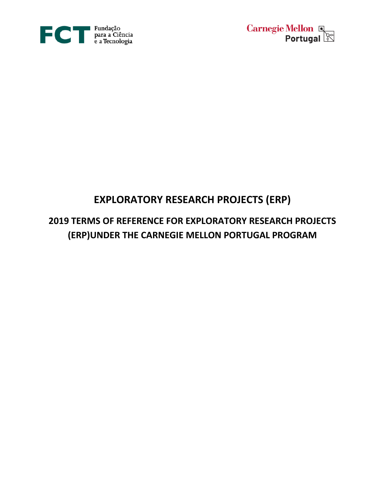



# **EXPLORATORY RESEARCH PROJECTS (ERP)**

# **2019 TERMS OF REFERENCE FOR EXPLORATORY RESEARCH PROJECTS (ERP)UNDER THE CARNEGIE MELLON PORTUGAL PROGRAM**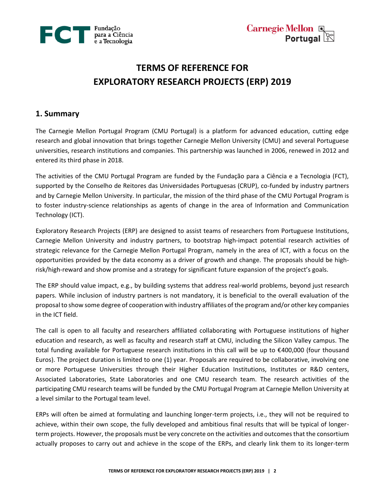

**Carnegie Mellon &**<br>**Portugal** 

# **TERMS OF REFERENCE FOR EXPLORATORY RESEARCH PROJECTS (ERP) 2019**

## **1. Summary**

The Carnegie Mellon Portugal Program (CMU Portugal) is a platform for advanced education, cutting edge research and global innovation that brings together Carnegie Mellon University (CMU) and several Portuguese universities, research institutions and companies. This partnership was launched in 2006, renewed in 2012 and entered its third phase in 2018.

The activities of the CMU Portugal Program are funded by the Fundação para a Ciência e a Tecnologia (FCT), supported by the Conselho de Reitores das Universidades Portuguesas (CRUP), co-funded by industry partners and by Carnegie Mellon University. In particular, the mission of the third phase of the CMU Portugal Program is to foster industry-science relationships as agents of change in the area of Information and Communication Technology (ICT).

Exploratory Research Projects (ERP) are designed to assist teams of researchers from Portuguese Institutions, Carnegie Mellon University and industry partners, to bootstrap high-impact potential research activities of strategic relevance for the Carnegie Mellon Portugal Program, namely in the area of ICT, with a focus on the opportunities provided by the data economy as a driver of growth and change. The proposals should be highrisk/high-reward and show promise and a strategy for significant future expansion of the project's goals.

The ERP should value impact, e.g., by building systems that address real-world problems, beyond just research papers. While inclusion of industry partners is not mandatory, it is beneficial to the overall evaluation of the proposal to show some degree of cooperation with industry affiliates of the program and/or other key companies in the ICT field.

The call is open to all faculty and researchers affiliated collaborating with Portuguese institutions of higher education and research, as well as faculty and research staff at CMU, including the Silicon Valley campus. The total funding available for Portuguese research institutions in this call will be up to €400,000 (four thousand Euros). The project duration is limited to one (1) year. Proposals are required to be collaborative, involving one or more Portuguese Universities through their Higher Education Institutions, Institutes or R&D centers, Associated Laboratories, State Laboratories and one CMU research team. The research activities of the participating CMU research teams will be funded by the CMU Portugal Program at Carnegie Mellon University at a level similar to the Portugal team level.

ERPs will often be aimed at formulating and launching longer-term projects, i.e., they will not be required to achieve, within their own scope, the fully developed and ambitious final results that will be typical of longerterm projects. However, the proposals must be very concrete on the activities and outcomes that the consortium actually proposes to carry out and achieve in the scope of the ERPs, and clearly link them to its longer-term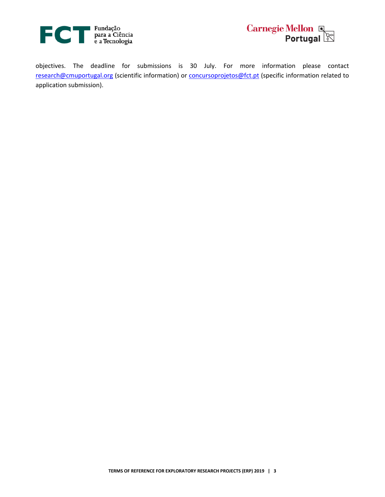



objectives. The deadline for submissions is 30 July. For more information please contact [research@cmuportugal.org](mailto:research@cmuportugal.org) (scientific information) or [concursoprojetos@fct.pt](mailto:concursoprojetos@fct.pt) (specific information related to application submission).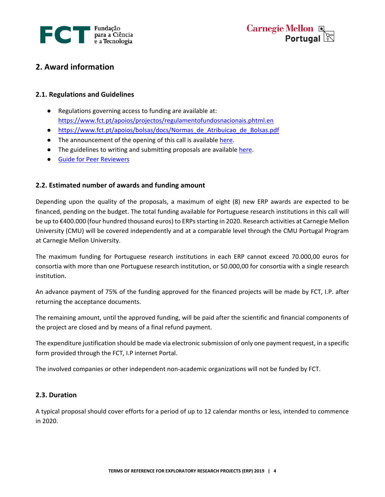



# **2. Award information**

### **2.1. Regulations and Guidelines**

- Regulations governing access to funding are available at: <https://www.fct.pt/apoios/projectos/regulamentofundosnacionais.phtml.en>
- [https://www.fct.pt/apoios/bolsas/docs/Normas\\_de\\_Atribuicao\\_de\\_Bolsas.pdf](https://www.fct.pt/apoios/bolsas/docs/Normas_de_Atribuicao_de_Bolsas.pdf)
- **•** The announcement of the opening of this call is available [here.](https://www.fct.pt/apoios/projectos/concursos/cmu/2019/docs/CMU_Portugal_AAC_PT)
- The guidelines to writing and submitting proposals are available [here.](https://www.fct.pt/apoios/projectos/concursos/cmu/2019/docs/Guiao_Candidatura_CMU_2019.pdf)
- [Guide for Peer Reviewers](https://www.fct.pt/apoios/projectos/concursos/cmu/2019/docs/Guide_Peer_Reviewers_CMU_2019.pdf)

### **2.2. Estimated number of awards and funding amount**

Depending upon the quality of the proposals, a maximum of eight (8) new ERP awards are expected to be financed, pending on the budget. The total funding available for Portuguese research institutions in this call will be up to €400.000 (four hundred thousand euros) to ERPsstarting in 2020. Research activities at Carnegie Mellon University (CMU) will be covered independently and at a comparable level through the CMU Portugal Program at Carnegie Mellon University.

The maximum funding for Portuguese research institutions in each ERP cannot exceed 70.000,00 euros for consortia with more than one Portuguese research institution, or 50.000,00 for consortia with a single research institution.

An advance payment of 75% of the funding approved for the financed projects will be made by FCT, I.P. after returning the acceptance documents.

The remaining amount, until the approved funding, will be paid after the scientific and financial components of the project are closed and by means of a final refund payment.

The expenditure justification should be made via electronic submission of only one payment request, in a specific form provided through the FCT, I.P internet Portal.

The involved companies or other independent non-academic organizations will not be funded by FCT.

#### **2.3. Duration**

A typical proposal should cover efforts for a period of up to 12 calendar months or less, intended to commence in 2020.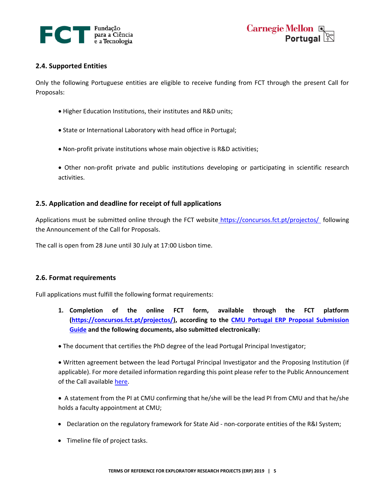



#### **2.4. Supported Entities**

Only the following Portuguese entities are eligible to receive funding from FCT through the present Call for Proposals:

- Higher Education Institutions, their institutes and R&D units;
- State or International Laboratory with head office in Portugal;
- Non-profit private institutions whose main objective is R&D activities;
- Other non-profit private and public institutions developing or participating in scientific research activities.

#### **2.5. Application and deadline for receipt of full applications**

Applications must be submitted online through the FCT website [https://concursos.fct.pt/projectos/](http://alfa.fct.mctes.pt/concursos) following the Announcement of the Call for Proposals.

The call is open from 28 June until 30 July at 17:00 Lisbon time.

#### **2.6. Format requirements**

Full applications must fulfill the following format requirements:

- **1. Completion of the online FCT form, available through the FCT platform [\(https://concursos.fct.pt/projectos/\)](https://concursos.fct.pt/projectos/), according to the [CMU Portugal ERP Proposal Submission](https://www.fct.pt/apoios/projectos/concursos/cmu/2019/docs/Guiao_Candidatura_CMU_2019.pdf)  [Guide](https://www.fct.pt/apoios/projectos/concursos/cmu/2019/docs/Guiao_Candidatura_CMU_2019.pdf) and the following documents, also submitted electronically:**
- The document that certifies the PhD degree of the lead Portugal Principal Investigator;

 Written agreement between the lead Portugal Principal Investigator and the Proposing Institution (if applicable). For more detailed information regarding this point please refer to the Public Announcement of the Call available [here.](https://www.fct.pt/apoios/projectos/concursos/cmu/2019/docs/CMU_Portugal_AAC_PT)

 A statement from the PI at CMU confirming that he/she will be the lead PI from CMU and that he/she holds a faculty appointment at CMU;

- Declaration on the regulatory framework for State Aid non-corporate entities of the R&I System;
- Timeline file of project tasks.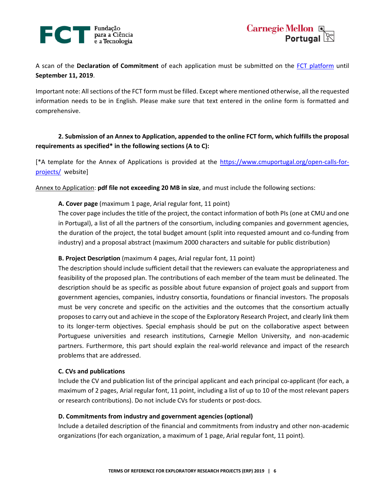



A scan of the **Declaration of Commitment** of each application must be submitted on the [FCT platform](https://concursos.fct.pt/projectos/) until **September 11, 2019**.

Important note: All sections of the FCT form must be filled. Except where mentioned otherwise, all the requested information needs to be in English. Please make sure that text entered in the online form is formatted and comprehensive.

## **2. Submission of an Annex to Application, appended to the online FCT form, which fulfills the proposal requirements as specified\* in the following sections (A to C):**

[\*A template for the Annex of Applications is provided at the [https://www.cmuportugal.org/open-calls-for](https://www.cmuportugal.org/open-calls-for-projects/)[projects/](https://www.cmuportugal.org/open-calls-for-projects/) website]

Annex to Application: **pdf file not exceeding 20 MB in size**, and must include the following sections:

#### **A. Cover page** (maximum 1 page, Arial regular font, 11 point)

The cover page includes the title of the project, the contact information of both PIs (one at CMU and one in Portugal), a list of all the partners of the consortium, including companies and government agencies, the duration of the project, the total budget amount (split into requested amount and co-funding from industry) and a proposal abstract (maximum 2000 characters and suitable for public distribution)

#### **B. Project Description** (maximum 4 pages, Arial regular font, 11 point)

The description should include sufficient detail that the reviewers can evaluate the appropriateness and feasibility of the proposed plan. The contributions of each member of the team must be delineated. The description should be as specific as possible about future expansion of project goals and support from government agencies, companies, industry consortia, foundations or financial investors. The proposals must be very concrete and specific on the activities and the outcomes that the consortium actually proposes to carry out and achieve in the scope of the Exploratory Research Project, and clearly link them to its longer-term objectives. Special emphasis should be put on the collaborative aspect between Portuguese universities and research institutions, Carnegie Mellon University, and non-academic partners. Furthermore, this part should explain the real-world relevance and impact of the research problems that are addressed.

#### **C. CVs and publications**

Include the CV and publication list of the principal applicant and each principal co-applicant (for each, a maximum of 2 pages, Arial regular font, 11 point, including a list of up to 10 of the most relevant papers or research contributions). Do not include CVs for students or post-docs.

#### **D. Commitments from industry and government agencies (optional)**

Include a detailed description of the financial and commitments from industry and other non-academic organizations (for each organization, a maximum of 1 page, Arial regular font, 11 point).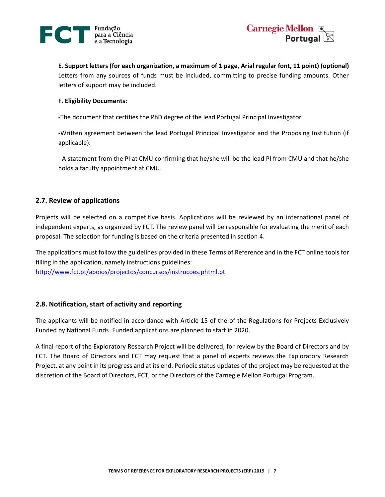



**E. Support letters (for each organization, a maximum of 1 page, Arial regular font, 11 point) (optional)** Letters from any sources of funds must be included, committing to precise funding amounts. Other letters of support may be included.

#### **F. Eligibility Documents:**

-The document that certifies the PhD degree of the lead Portugal Principal Investigator

-Written agreement between the lead Portugal Principal Investigator and the Proposing Institution (if applicable).

- A statement from the PI at CMU confirming that he/she will be the lead PI from CMU and that he/she holds a faculty appointment at CMU.

#### **2.7. Review of applications**

Projects will be selected on a competitive basis. Applications will be reviewed by an international panel of independent experts, as organized by FCT. The review panel will be responsible for evaluating the merit of each proposal. The selection for funding is based on the criteria presented in section 4.

The applications must follow the guidelines provided in these Terms of Reference and in the FCT online tools for filling in the application, namely instructions guidelines:

<http://www.fct.pt/apoios/projectos/concursos/instrucoes.phtml.pt>

#### **2.8. Notification, start of activity and reporting**

The applicants will be notified in accordance with Article 15 of the of the Regulations for Projects Exclusively Funded by National Funds. Funded applications are planned to start in 2020.

A final report of the Exploratory Research Project will be delivered, for review by the Board of Directors and by FCT. The Board of Directors and FCT may request that a panel of experts reviews the Exploratory Research Project, at any point in its progress and at its end. Periodic status updates of the project may be requested at the discretion of the Board of Directors, FCT, or the Directors of the Carnegie Mellon Portugal Program.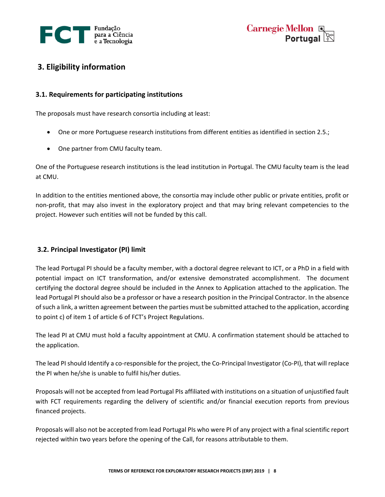



# **3. Eligibility information**

### **3.1. Requirements for participating institutions**

The proposals must have research consortia including at least:

- One or more Portuguese research institutions from different entities as identified in section 2.5.;
- One partner from CMU faculty team.

One of the Portuguese research institutions is the lead institution in Portugal. The CMU faculty team is the lead at CMU.

In addition to the entities mentioned above, the consortia may include other public or private entities, profit or non-profit, that may also invest in the exploratory project and that may bring relevant competencies to the project. However such entities will not be funded by this call.

## **3.2. Principal Investigator (PI) limit**

The lead Portugal PI should be a faculty member, with a doctoral degree relevant to ICT, or a PhD in a field with potential impact on ICT transformation, and/or extensive demonstrated accomplishment. The document certifying the doctoral degree should be included in the Annex to Application attached to the application. The lead Portugal PI should also be a professor or have a research position in the Principal Contractor. In the absence of such a link, a written agreement between the parties must be submitted attached to the application, according to point c) of item 1 of article 6 of FCT's Project Regulations.

The lead PI at CMU must hold a faculty appointment at CMU. A confirmation statement should be attached to the application.

The lead PI should Identify a co-responsible for the project, the Co-Principal Investigator (Co-PI), that will replace the PI when he/she is unable to fulfil his/her duties.

Proposals will not be accepted from lead Portugal PIs affiliated with institutions on a situation of unjustified fault with FCT requirements regarding the delivery of scientific and/or financial execution reports from previous financed projects.

Proposals will also not be accepted from lead Portugal PIs who were PI of any project with a final scientific report rejected within two years before the opening of the Call, for reasons attributable to them.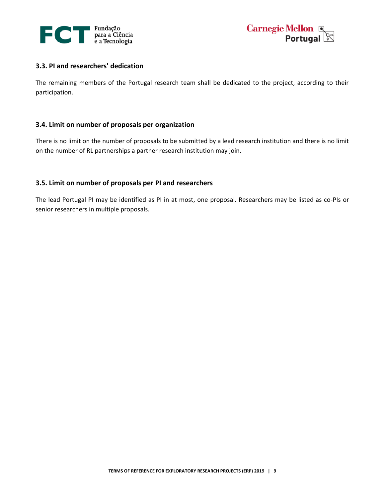



#### **3.3. PI and researchers' dedication**

The remaining members of the Portugal research team shall be dedicated to the project, according to their participation.

#### **3.4. Limit on number of proposals per organization**

There is no limit on the number of proposals to be submitted by a lead research institution and there is no limit on the number of RL partnerships a partner research institution may join.

#### **3.5. Limit on number of proposals per PI and researchers**

The lead Portugal PI may be identified as PI in at most, one proposal. Researchers may be listed as co-PIs or senior researchers in multiple proposals.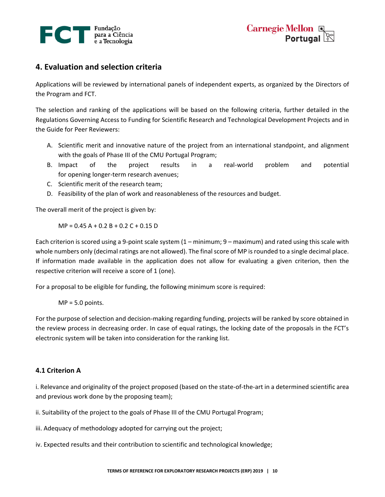

# **4. Evaluation and selection criteria**

Applications will be reviewed by international panels of independent experts, as organized by the Directors of the Program and FCT.

The selection and ranking of the applications will be based on the following criteria, further detailed in the Regulations Governing Access to Funding for Scientific Research and Technological Development Projects and in the Guide for Peer Reviewers:

- A. Scientific merit and innovative nature of the project from an international standpoint, and alignment with the goals of Phase III of the CMU Portugal Program;
- B. Impact of the project results in a real-world problem and potential for opening longer-term research avenues;
- C. Scientific merit of the research team;
- D. Feasibility of the plan of work and reasonableness of the resources and budget.

The overall merit of the project is given by:

 $MP = 0.45 A + 0.2 B + 0.2 C + 0.15 D$ 

Each criterion is scored using a 9-point scale system (1 – minimum; 9 – maximum) and rated using this scale with whole numbers only (decimal ratings are not allowed). The final score of MP is rounded to a single decimal place. If information made available in the application does not allow for evaluating a given criterion, then the respective criterion will receive a score of 1 (one).

For a proposal to be eligible for funding, the following minimum score is required:

 $MP = 5.0$  points.

For the purpose of selection and decision-making regarding funding, projects will be ranked by score obtained in the review process in decreasing order. In case of equal ratings, the locking date of the proposals in the FCT's electronic system will be taken into consideration for the ranking list.

## **4.1 Criterion A**

i. Relevance and originality of the project proposed (based on the state-of-the-art in a determined scientific area and previous work done by the proposing team);

ii. Suitability of the project to the goals of Phase III of the CMU Portugal Program;

iii. Adequacy of methodology adopted for carrying out the project;

iv. Expected results and their contribution to scientific and technological knowledge;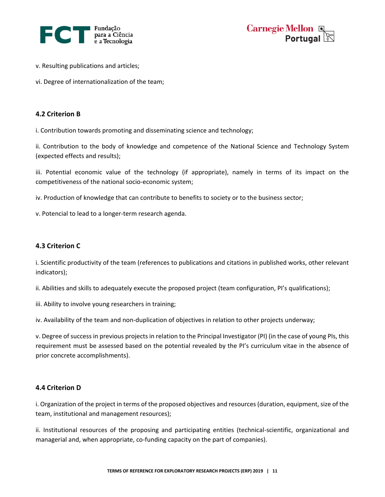



- v. Resulting publications and articles;
- vi. Degree of internationalization of the team;

#### **4.2 Criterion B**

i. Contribution towards promoting and disseminating science and technology;

ii. Contribution to the body of knowledge and competence of the National Science and Technology System (expected effects and results);

iii. Potential economic value of the technology (if appropriate), namely in terms of its impact on the competitiveness of the national socio-economic system;

iv. Production of knowledge that can contribute to benefits to society or to the business sector;

v. Potencial to lead to a longer-term research agenda.

#### **4.3 Criterion C**

i. Scientific productivity of the team (references to publications and citations in published works, other relevant indicators);

ii. Abilities and skills to adequately execute the proposed project (team configuration, PI's qualifications);

iii. Ability to involve young researchers in training;

iv. Availability of the team and non-duplication of objectives in relation to other projects underway;

v. Degree of success in previous projects in relation to the Principal Investigator (PI) (in the case of young PIs, this requirement must be assessed based on the potential revealed by the PI's curriculum vitae in the absence of prior concrete accomplishments).

#### **4.4 Criterion D**

i. Organization of the project in terms of the proposed objectives and resources (duration, equipment, size of the team, institutional and management resources);

ii. Institutional resources of the proposing and participating entities (technical-scientific, organizational and managerial and, when appropriate, co-funding capacity on the part of companies).